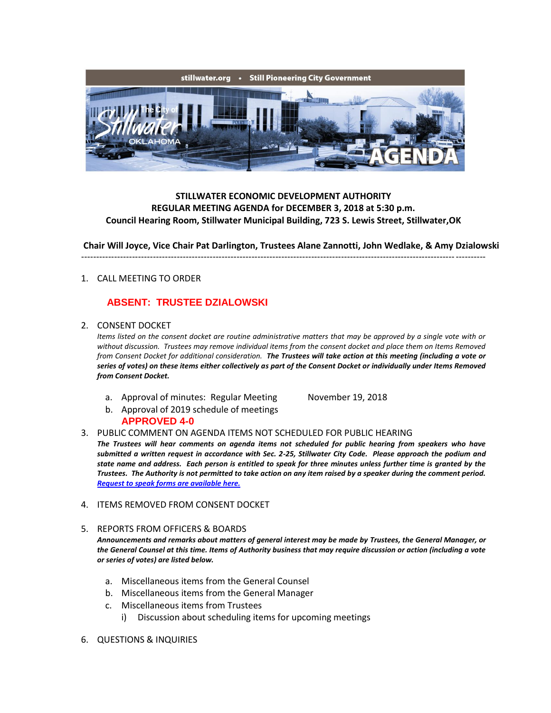

## **STILLWATER ECONOMIC DEVELOPMENT AUTHORITY REGULAR MEETING AGENDA for DECEMBER 3, 2018 at 5:30 p.m. Council Hearing Room, Stillwater Municipal Building, 723 S. Lewis Street, Stillwater,OK**

**Chair Will Joyce, Vice Chair Pat Darlington, Trustees Alane Zannotti, John Wedlake, & Amy Dzialowski** ---------------------------------------------------------------------------------------------------------------------------------------

### 1. CALL MEETING TO ORDER

# **ABSENT: TRUSTEE DZIALOWSKI**

2. CONSENT DOCKET

*Items listed on the consent docket are routine administrative matters that may be approved by a single vote with or without discussion. Trustees may remove individual items from the consent docket and place them on Items Removed from Consent Docket for additional consideration. The Trustees will take action at this meeting (including a vote or series of votes) on these items either collectively as part of the Consent Docket or individually under Items Removed from Consent Docket.*

a. Approval of minutes: Regular Meeting November 19, 2018

b. Approval of 2019 schedule of meetings **APPROVED 4-0**

3. PUBLIC COMMENT ON AGENDA ITEMS NOT SCHEDULED FOR PUBLIC HEARING

*The Trustees will hear comments on agenda items not scheduled for public hearing from speakers who have submitted a written request in accordance with Sec. 2-25, Stillwater City Code. Please approach the podium and state name and address. Each person is entitled to speak for three minutes unless further time is granted by the Trustees. The Authority is not permitted to take action on any item raised by a speaker during the comment period. [Request to speak forms are available here.](http://stillwater.org/document/request_to_speak_at_city_council.php)*

- 4. ITEMS REMOVED FROM CONSENT DOCKET
- 5. REPORTS FROM OFFICERS & BOARDS *Announcements and remarks about matters of general interest may be made by Trustees, the General Manager, or the General Counsel at this time. Items of Authority business that may require discussion or action (including a vote or series of votes) are listed below.*
	- a. Miscellaneous items from the General Counsel
	- b. Miscellaneous items from the General Manager
	- c. Miscellaneous items from Trustees
		- i) Discussion about scheduling items for upcoming meetings
- 6. QUESTIONS & INQUIRIES